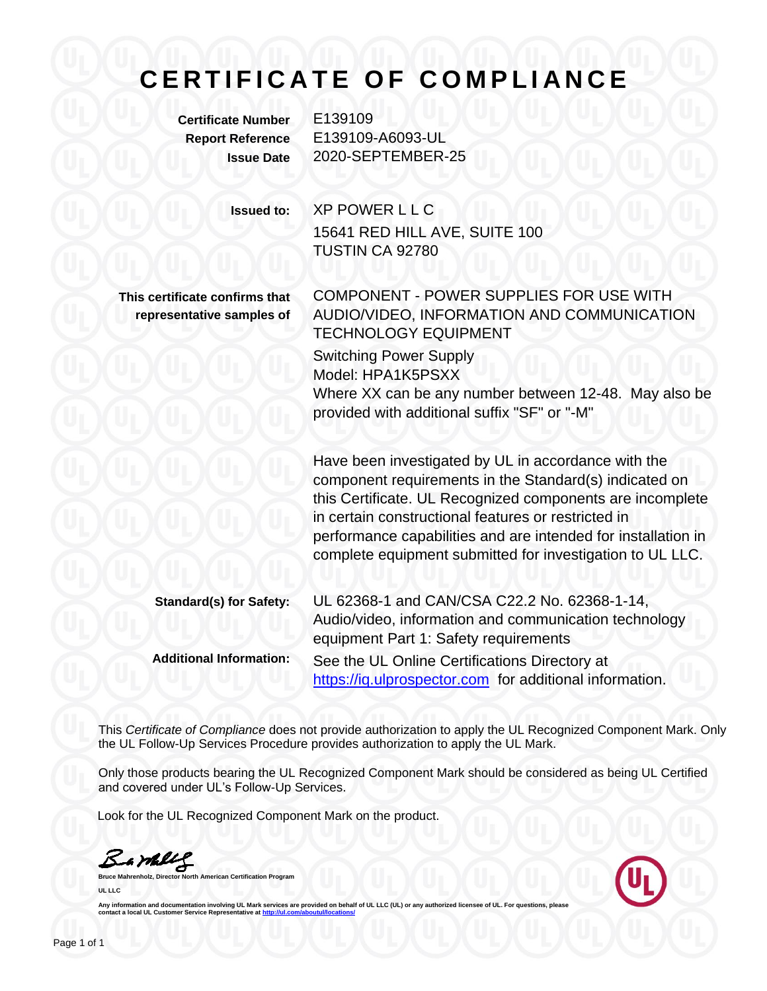# CERTIFICATE OF COMPLIANCE

**Certificate Number** E139109

**Report Reference** E139109-A6093-UL **Issue Date** 2020-SEPTEMBER-25

**Issued to:** XP POWER L L C 15641 RED HILL AVE, SUITE 100 TUSTIN CA 92780

**This certificate confirms that representative samples of** COMPONENT - POWER SUPPLIES FOR USE WITH AUDIO/VIDEO, INFORMATION AND COMMUNICATION TECHNOLOGY EQUIPMENT

Switching Power Supply Model: HPA1K5PSXX Where XX can be any number between 12-48. May also be provided with additional suffix "SF" or "-M"

Have been investigated by UL in accordance with the component requirements in the Standard(s) indicated on this Certificate. UL Recognized components are incomplete in certain constructional features or restricted in performance capabilities and are intended for installation in complete equipment submitted for investigation to UL LLC.

**Standard(s) for Safety:** UL 62368-1 and CAN/CSA C22.2 No. 62368-1-14, Audio/video, information and communication technology equipment Part 1: Safety requirements **Additional Information:** See the UL Online Certifications Directory at [https://iq.ulprospector.com](https://iq.ulprospector.com/) for additional information.

This *Certificate of Compliance* does not provide authorization to apply the UL Recognized Component Mark. Only the UL Follow-Up Services Procedure provides authorization to apply the UL Mark.

Only those products bearing the UL Recognized Component Mark should be considered as being UL Certified and covered under UL's Follow-Up Services.

Look for the UL Recognized Component Mark on the product.

Bampe

**Bruce Mahrenholz, Director North American Certification Program UL LLC**



Any information and documentation involving UL Mark services are provided on behalf of UL LLC (UL) or any authorized licensee of UL. For questions, please<br>contact a local UL Customer Service Representative at <u>http://ul.co</u>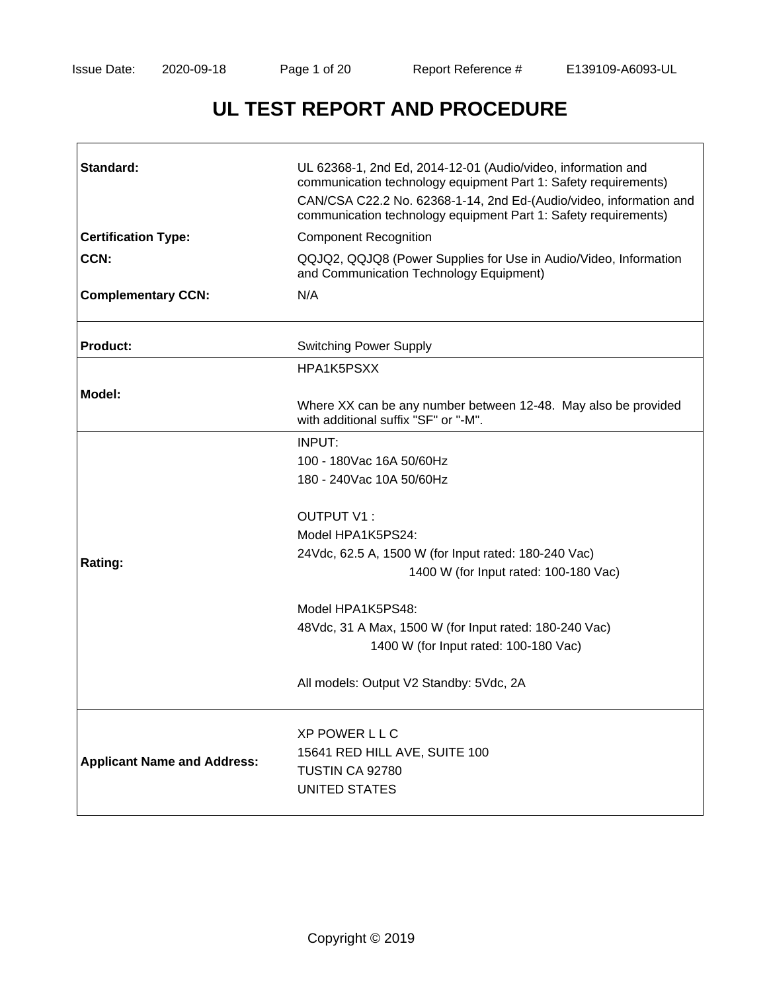# **UL TEST REPORT AND PROCEDURE**

| Standard:                          | UL 62368-1, 2nd Ed, 2014-12-01 (Audio/video, information and<br>communication technology equipment Part 1: Safety requirements)<br>CAN/CSA C22.2 No. 62368-1-14, 2nd Ed-(Audio/video, information and<br>communication technology equipment Part 1: Safety requirements)                                                                                                 |  |  |
|------------------------------------|--------------------------------------------------------------------------------------------------------------------------------------------------------------------------------------------------------------------------------------------------------------------------------------------------------------------------------------------------------------------------|--|--|
| <b>Certification Type:</b>         | <b>Component Recognition</b>                                                                                                                                                                                                                                                                                                                                             |  |  |
| CCN:                               | QQJQ2, QQJQ8 (Power Supplies for Use in Audio/Video, Information<br>and Communication Technology Equipment)                                                                                                                                                                                                                                                              |  |  |
| <b>Complementary CCN:</b>          | N/A                                                                                                                                                                                                                                                                                                                                                                      |  |  |
| <b>Product:</b>                    | <b>Switching Power Supply</b>                                                                                                                                                                                                                                                                                                                                            |  |  |
|                                    | HPA1K5PSXX                                                                                                                                                                                                                                                                                                                                                               |  |  |
| Model:                             | Where XX can be any number between 12-48. May also be provided<br>with additional suffix "SF" or "-M".                                                                                                                                                                                                                                                                   |  |  |
| Rating:                            | INPUT:<br>100 - 180Vac 16A 50/60Hz<br>180 - 240 Vac 10 A 50/60 Hz<br>OUTPUT V1:<br>Model HPA1K5PS24:<br>24Vdc, 62.5 A, 1500 W (for Input rated: 180-240 Vac)<br>1400 W (for Input rated: 100-180 Vac)<br>Model HPA1K5PS48:<br>48Vdc, 31 A Max, 1500 W (for Input rated: 180-240 Vac)<br>1400 W (for Input rated: 100-180 Vac)<br>All models: Output V2 Standby: 5Vdc, 2A |  |  |
| <b>Applicant Name and Address:</b> | <b>XP POWER LLC</b><br>15641 RED HILL AVE, SUITE 100<br>TUSTIN CA 92780<br><b>UNITED STATES</b>                                                                                                                                                                                                                                                                          |  |  |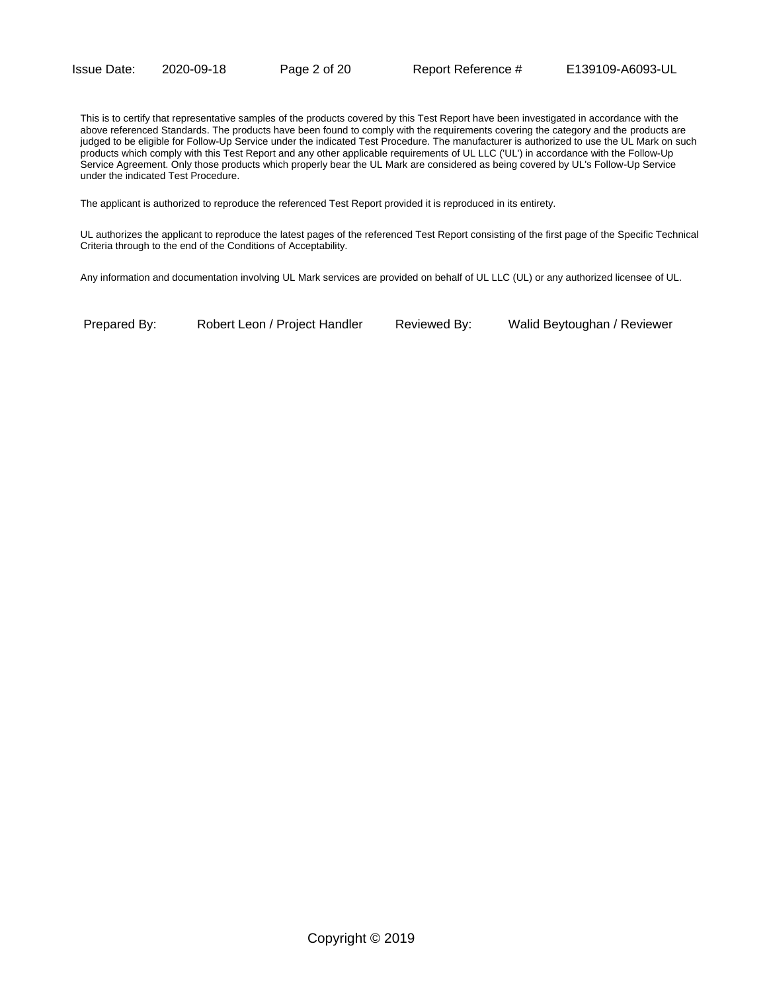This is to certify that representative samples of the products covered by this Test Report have been investigated in accordance with the above referenced Standards. The products have been found to comply with the requirements covering the category and the products are judged to be eligible for Follow-Up Service under the indicated Test Procedure. The manufacturer is authorized to use the UL Mark on such products which comply with this Test Report and any other applicable requirements of UL LLC ('UL') in accordance with the Follow-Up Service Agreement. Only those products which properly bear the UL Mark are considered as being covered by UL's Follow-Up Service under the indicated Test Procedure.

The applicant is authorized to reproduce the referenced Test Report provided it is reproduced in its entirety.

UL authorizes the applicant to reproduce the latest pages of the referenced Test Report consisting of the first page of the Specific Technical Criteria through to the end of the Conditions of Acceptability.

Any information and documentation involving UL Mark services are provided on behalf of UL LLC (UL) or any authorized licensee of UL.

Prepared By: Robert Leon / Project Handler Reviewed By: Walid Beytoughan / Reviewer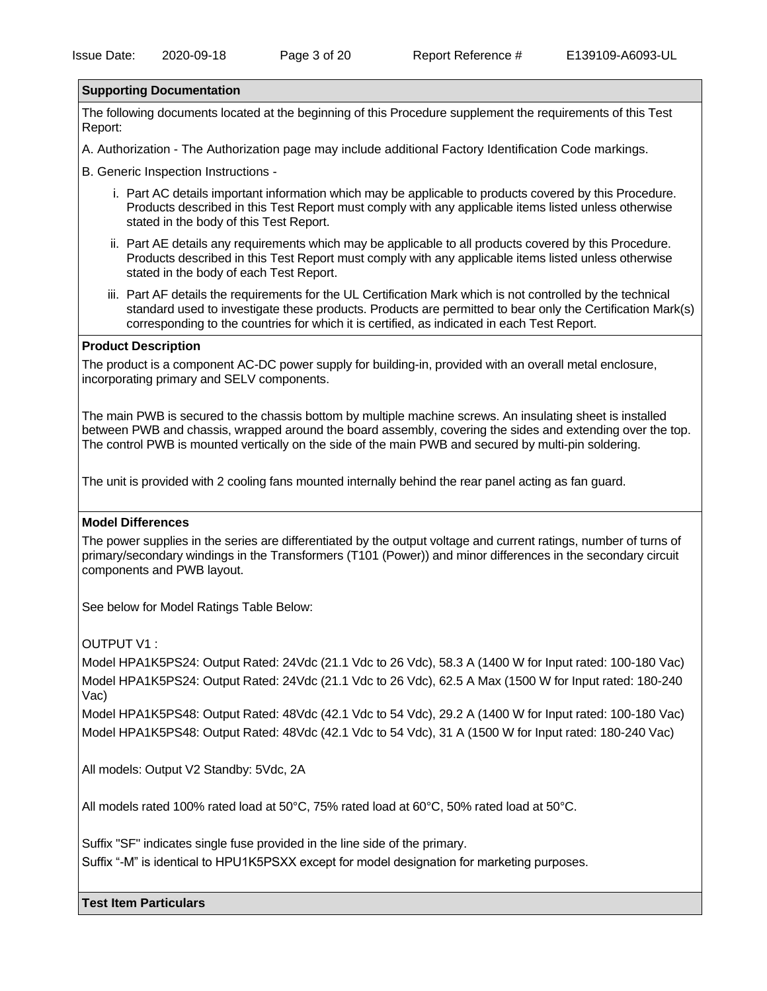#### **Supporting Documentation**

The following documents located at the beginning of this Procedure supplement the requirements of this Test Report:

A. Authorization - The Authorization page may include additional Factory Identification Code markings.

B. Generic Inspection Instructions -

- i. Part AC details important information which may be applicable to products covered by this Procedure. Products described in this Test Report must comply with any applicable items listed unless otherwise stated in the body of this Test Report.
- ii. Part AE details any requirements which may be applicable to all products covered by this Procedure. Products described in this Test Report must comply with any applicable items listed unless otherwise stated in the body of each Test Report.
- iii. Part AF details the requirements for the UL Certification Mark which is not controlled by the technical standard used to investigate these products. Products are permitted to bear only the Certification Mark(s) corresponding to the countries for which it is certified, as indicated in each Test Report.

#### **Product Description**

The product is a component AC-DC power supply for building-in, provided with an overall metal enclosure, incorporating primary and SELV components.

The main PWB is secured to the chassis bottom by multiple machine screws. An insulating sheet is installed between PWB and chassis, wrapped around the board assembly, covering the sides and extending over the top. The control PWB is mounted vertically on the side of the main PWB and secured by multi-pin soldering.

The unit is provided with 2 cooling fans mounted internally behind the rear panel acting as fan guard.

#### **Model Differences**

The power supplies in the series are differentiated by the output voltage and current ratings, number of turns of primary/secondary windings in the Transformers (T101 (Power)) and minor differences in the secondary circuit components and PWB layout.

See below for Model Ratings Table Below:

OUTPUT V1 :

Model HPA1K5PS24: Output Rated: 24Vdc (21.1 Vdc to 26 Vdc), 58.3 A (1400 W for Input rated: 100-180 Vac) Model HPA1K5PS24: Output Rated: 24Vdc (21.1 Vdc to 26 Vdc), 62.5 A Max (1500 W for Input rated: 180-240 Vac)

Model HPA1K5PS48: Output Rated: 48Vdc (42.1 Vdc to 54 Vdc), 29.2 A (1400 W for Input rated: 100-180 Vac) Model HPA1K5PS48: Output Rated: 48Vdc (42.1 Vdc to 54 Vdc), 31 A (1500 W for Input rated: 180-240 Vac)

All models: Output V2 Standby: 5Vdc, 2A

All models rated 100% rated load at 50°C, 75% rated load at 60°C, 50% rated load at 50°C.

Suffix "SF" indicates single fuse provided in the line side of the primary.

Suffix "-M" is identical to HPU1K5PSXX except for model designation for marketing purposes.

**Test Item Particulars**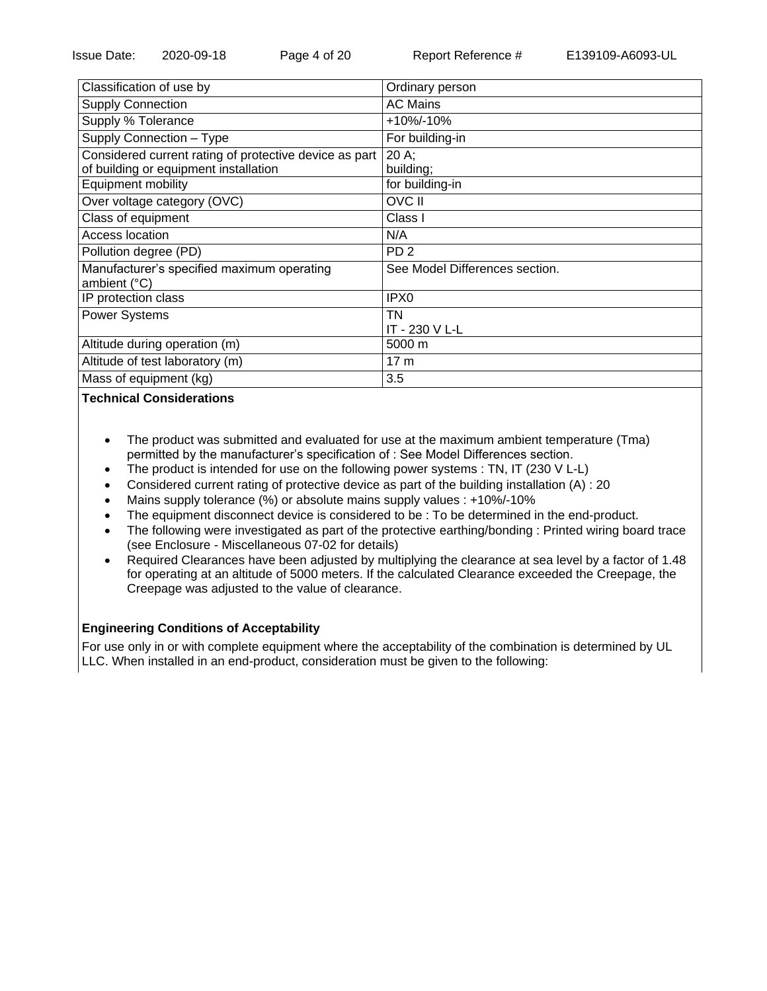| Classification of use by                                   | Ordinary person                |
|------------------------------------------------------------|--------------------------------|
| <b>Supply Connection</b>                                   | <b>AC Mains</b>                |
| Supply % Tolerance                                         | $+10\% - 10\%$                 |
| Supply Connection - Type                                   | For building-in                |
| Considered current rating of protective device as part     | $20 A$ ;                       |
| of building or equipment installation                      | building;                      |
| Equipment mobility                                         | for building-in                |
| Over voltage category (OVC)                                | <b>OVC II</b>                  |
| Class of equipment                                         | Class I                        |
| Access location                                            | N/A                            |
| Pollution degree (PD)                                      | PD <sub>2</sub>                |
| Manufacturer's specified maximum operating<br>ambient (°C) | See Model Differences section. |
| IP protection class                                        | IPX <sub>0</sub>               |
| <b>Power Systems</b>                                       | TN                             |
|                                                            | IT - 230 V L-L                 |
| Altitude during operation (m)                              | 5000 m                         |
| Altitude of test laboratory (m)                            | 17 <sub>m</sub>                |
| Mass of equipment (kg)                                     | 3.5                            |
|                                                            |                                |

#### **Technical Considerations**

- The product was submitted and evaluated for use at the maximum ambient temperature (Tma) permitted by the manufacturer's specification of : See Model Differences section.
- The product is intended for use on the following power systems : TN, IT (230 V L-L)
- Considered current rating of protective device as part of the building installation (A) : 20
- Mains supply tolerance (%) or absolute mains supply values : +10%/-10%
- The equipment disconnect device is considered to be : To be determined in the end-product.
- The following were investigated as part of the protective earthing/bonding : Printed wiring board trace (see Enclosure - Miscellaneous 07-02 for details)
- Required Clearances have been adjusted by multiplying the clearance at sea level by a factor of 1.48 for operating at an altitude of 5000 meters. If the calculated Clearance exceeded the Creepage, the Creepage was adjusted to the value of clearance.

## **Engineering Conditions of Acceptability**

For use only in or with complete equipment where the acceptability of the combination is determined by UL LLC. When installed in an end-product, consideration must be given to the following: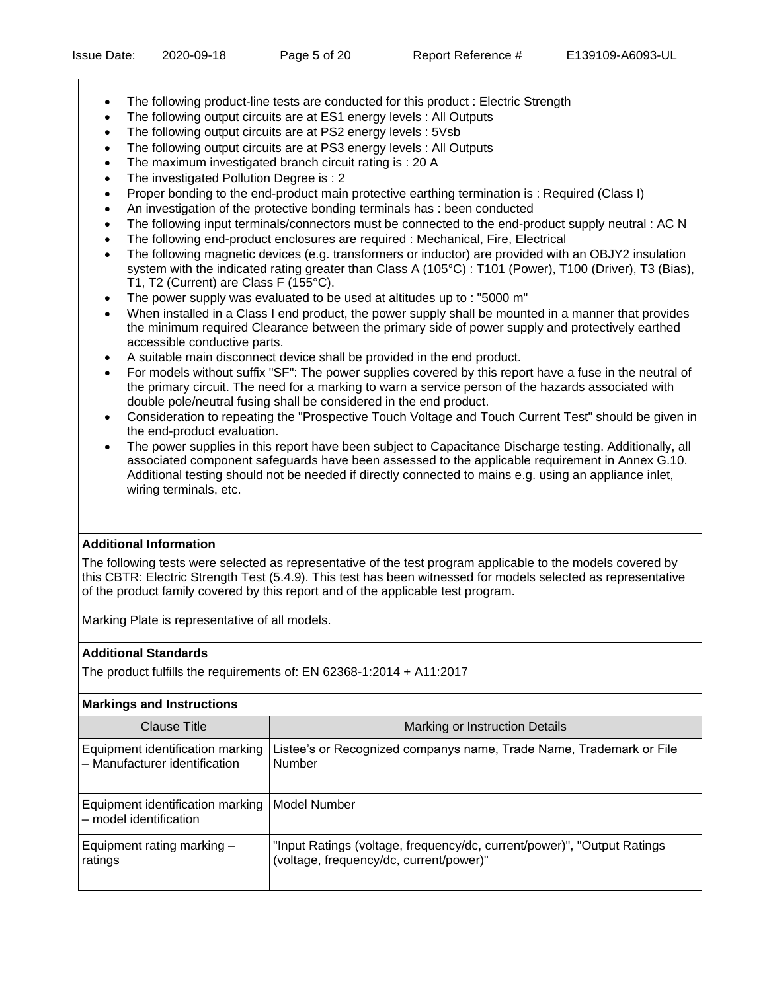- The following product-line tests are conducted for this product : Electric Strength
- The following output circuits are at ES1 energy levels : All Outputs
- The following output circuits are at PS2 energy levels : 5Vsb
- The following output circuits are at PS3 energy levels : All Outputs
- The maximum investigated branch circuit rating is : 20 A
- The investigated Pollution Degree is : 2
- Proper bonding to the end-product main protective earthing termination is : Required (Class I)
- An investigation of the protective bonding terminals has : been conducted
- The following input terminals/connectors must be connected to the end-product supply neutral : AC N
- The following end-product enclosures are required : Mechanical, Fire, Electrical
- The following magnetic devices (e.g. transformers or inductor) are provided with an OBJY2 insulation system with the indicated rating greater than Class A (105°C) : T101 (Power), T100 (Driver), T3 (Bias), T1, T2 (Current) are Class F (155°C).
- The power supply was evaluated to be used at altitudes up to : "5000 m"
- When installed in a Class I end product, the power supply shall be mounted in a manner that provides the minimum required Clearance between the primary side of power supply and protectively earthed accessible conductive parts.
- A suitable main disconnect device shall be provided in the end product.
- For models without suffix "SF": The power supplies covered by this report have a fuse in the neutral of the primary circuit. The need for a marking to warn a service person of the hazards associated with double pole/neutral fusing shall be considered in the end product.
- Consideration to repeating the "Prospective Touch Voltage and Touch Current Test" should be given in the end-product evaluation.
- The power supplies in this report have been subject to Capacitance Discharge testing. Additionally, all associated component safeguards have been assessed to the applicable requirement in Annex G.10. Additional testing should not be needed if directly connected to mains e.g. using an appliance inlet, wiring terminals, etc.

# **Additional Information**

The following tests were selected as representative of the test program applicable to the models covered by this CBTR: Electric Strength Test (5.4.9). This test has been witnessed for models selected as representative of the product family covered by this report and of the applicable test program.

Marking Plate is representative of all models.

## **Additional Standards**

The product fulfills the requirements of: EN 62368-1:2014 + A11:2017

## **Markings and Instructions**

| Clause Title                                                              | Marking or Instruction Details                                                                                     |
|---------------------------------------------------------------------------|--------------------------------------------------------------------------------------------------------------------|
| Equipment identification marking<br>- Manufacturer identification         | Listee's or Recognized companys name, Trade Name, Trademark or File<br><b>Number</b>                               |
| Equipment identification marking   Model Number<br>- model identification |                                                                                                                    |
| Equipment rating marking -<br>ratings                                     | "Input Ratings (voltage, frequency/dc, current/power)", "Output Ratings<br>(voltage, frequency/dc, current/power)" |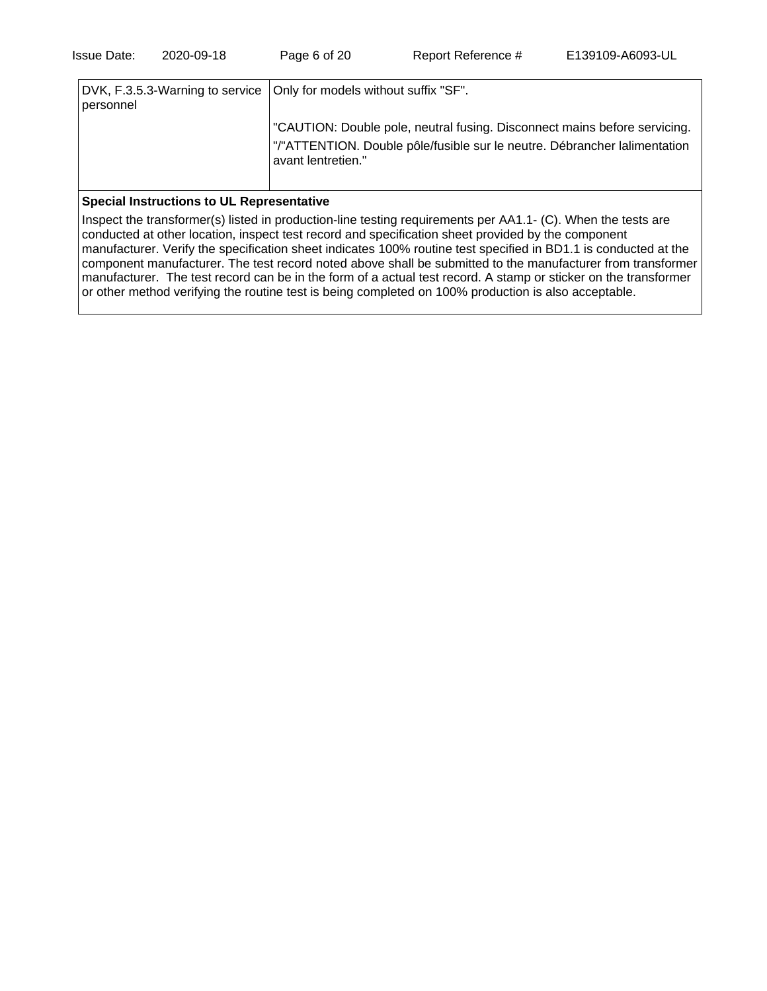| personnel | DVK, F.3.5.3-Warning to service   Only for models without suffix "SF".                                                                                                       |  |  |
|-----------|------------------------------------------------------------------------------------------------------------------------------------------------------------------------------|--|--|
|           | "CAUTION: Double pole, neutral fusing. Disconnect mains before servicing.<br>"/"ATTENTION. Double pôle/fusible sur le neutre. Débrancher lalimentation<br>avant lentretien." |  |  |

#### **Special Instructions to UL Representative**

Inspect the transformer(s) listed in production-line testing requirements per AA1.1- (C). When the tests are conducted at other location, inspect test record and specification sheet provided by the component manufacturer. Verify the specification sheet indicates 100% routine test specified in BD1.1 is conducted at the component manufacturer. The test record noted above shall be submitted to the manufacturer from transformer manufacturer. The test record can be in the form of a actual test record. A stamp or sticker on the transformer or other method verifying the routine test is being completed on 100% production is also acceptable.